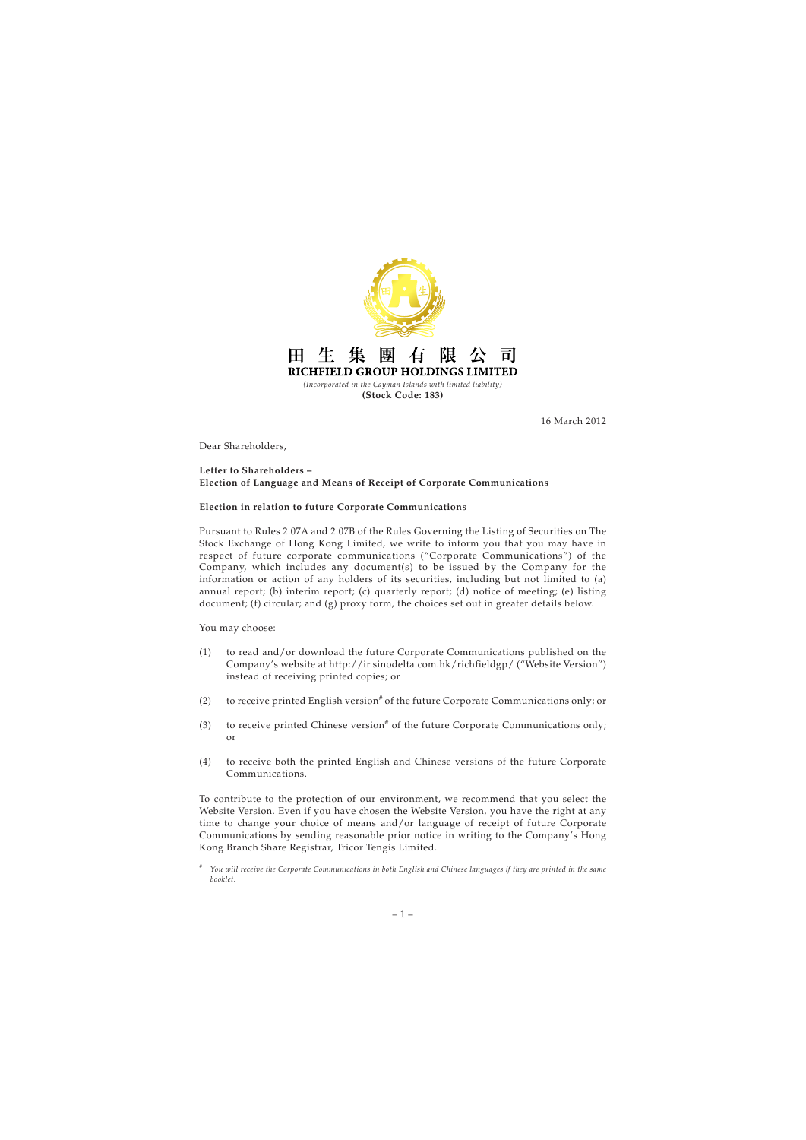

16 March 2012

Dear Shareholders,

## **Letter to Shareholders – Election of Language and Means of Receipt of Corporate Communications**

## **Election in relation to future Corporate Communications**

Pursuant to Rules 2.07A and 2.07B of the Rules Governing the Listing of Securities on The Stock Exchange of Hong Kong Limited, we write to inform you that you may have in respect of future corporate communications ("Corporate Communications") of the Company, which includes any document(s) to be issued by the Company for the information or action of any holders of its securities, including but not limited to (a) annual report; (b) interim report; (c) quarterly report; (d) notice of meeting; (e) listing document; (f) circular; and (g) proxy form, the choices set out in greater details below.

You may choose:

- (1) to read and/or download the future Corporate Communications published on the Company's website at http://ir.sinodelta.com.hk/richfieldgp/ ("Website Version") instead of receiving printed copies; or
- (2) to receive printed English version<sup>#</sup> of the future Corporate Communications only; or
- (3) to receive printed Chinese version<sup>#</sup> of the future Corporate Communications only; or
- (4) to receive both the printed English and Chinese versions of the future Corporate Communications.

To contribute to the protection of our environment, we recommend that you select the Website Version. Even if you have chosen the Website Version, you have the right at any time to change your choice of means and/or language of receipt of future Corporate Communications by sending reasonable prior notice in writing to the Company's Hong Kong Branch Share Registrar, Tricor Tengis Limited.

<sup>#</sup> *You will receive the Corporate Communications in both English and Chinese languages if they are printed in the same booklet.*